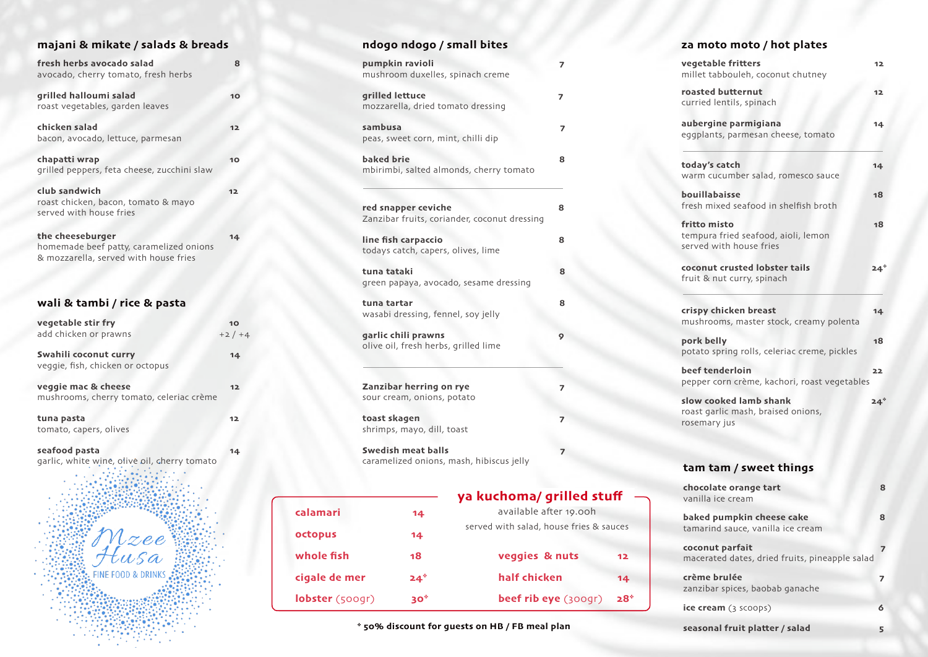**fresh herbs avocado salad 8** avocado, cherry tomato, fresh herbs

**grilled halloumi salad 10** roast vegetables, garden leaves

**chicken salad 12** bacon, avocado, lettuce, parmesan

**club sandwich 12** roast chicken, bacon, tomato & mayo served with house fries

**vegetable stir fry 10** add chicken or prawns  $+2/+4$ 

**chapatti wrap 10** grilled peppers, feta cheese, zucchini slaw

**the cheeseburger 14** homemade beef patty, caramelized onions & mozzarella, served with house fries

### **majani & mikate / salads & breads**

**veggie mac & cheese 12** mushrooms, cherry tomato, celeriac crème

**pumpkin ravioli 7** mushroom duxelles, spin

**grilled lettuce 7** mozzarella, dried tomato

**sambusa 7** peas, sweet corn, mint, chill

**baked brie** mbirimbi, salted almonds

**red snapper ceviche 8** Zanzibar fruits, coriander,

**Swahili coconut curry 14** veggie, fish, chicken or octopus

**line fish carpaccio** todays catch, capers, olive

**tuna pasta 12** tomato, capers, olives

**tuna tataki 8** green papaya, avocado, s

**tuna tartar 8** wasabi dressing, fennel,

**seafood pasta 14** garlic, white wine, olive oil, cherry tomato

**garlic chili prawns 9** olive oil, fresh herbs, gril

**Zanzibar herring on rye** sour cream, onions, potat

### **wali & tambi / rice & pasta**

**Swedish meat balls 7** caramelized onions, mash

|                 |        | ya kuchoma/ grilled stuff                                         |       |
|-----------------|--------|-------------------------------------------------------------------|-------|
| calamari        | 14     | available after 19.00h<br>served with salad, house fries & sauces |       |
| octopus         | 14     |                                                                   |       |
| whole fish      | 18     | veggies & nuts                                                    | 12    |
| cigale de mer   | $24^*$ | half chicken                                                      | 14    |
| lobster (500gr) | $30*$  | beef rib eye (300gr)                                              | $28*$ |

**toast skagen 7** shrimps, mayo, dill, toast

# **ndogo ndogo / small bites**

| all bites                                                                                     |       | za moto moto / hot plates                                                      |                 |
|-----------------------------------------------------------------------------------------------|-------|--------------------------------------------------------------------------------|-----------------|
| ach creme                                                                                     |       | vegetable fritters<br>millet tabbouleh, coconut chutney                        |                 |
| o dressing                                                                                    |       | roasted butternut<br>curried lentils, spinach                                  |                 |
| chilli dip                                                                                    |       | aubergine parmigiana<br>eggplants, parmesan cheese, tomato                     | 14              |
| s, cherry tomato                                                                              |       | today's catch<br>warm cucumber salad, romesco sauce                            | 14              |
|                                                                                               |       | bouillabaisse<br>fresh mixed seafood in shelfish broth                         | 18              |
| er, coconut dressing<br>ves, lime                                                             |       | fritto misto<br>tempura fried seafood, aioli, lemon<br>served with house fries |                 |
| sesame dressing                                                                               |       | coconut crusted lobster tails<br>fruit & nut curry, spinach                    | 24 <sup>4</sup> |
| soy jelly                                                                                     |       | crispy chicken breast<br>mushrooms, master stock, creamy polenta               | 14              |
| lled lime                                                                                     |       | pork belly<br>potato spring rolls, celeriac creme, pickles                     |                 |
| e                                                                                             |       | beef tenderloin<br>pepper corn crème, kachori, roast vegetables                |                 |
| ato                                                                                           |       | slow cooked lamb shank<br>roast garlic mash, braised onions,<br>rosemary jus   | $24^*$          |
| h, hibiscus jelly                                                                             |       | tam tam / sweet things                                                         |                 |
| a kuchoma/ grilled stuff<br>available after 19.00h<br>served with salad, house fries & sauces |       | chocolate orange tart<br>vanilla ice cream                                     | 8               |
|                                                                                               |       | baked pumpkin cheese cake<br>tamarind sauce, vanilla ice cream                 |                 |
| veggies & nuts                                                                                | 12    | coconut parfait<br>macerated dates, dried fruits, pineapple salad              |                 |
| half chicken<br>14                                                                            |       | crème brulée<br>zanzibar spices, baobab ganache                                |                 |
| beef rib eye (300gr)                                                                          | $28*$ | ice cream (3 scoops)                                                           |                 |
| ts on HB / FB meal plan                                                                       |       | seasonal fruit platter / salad                                                 |                 |